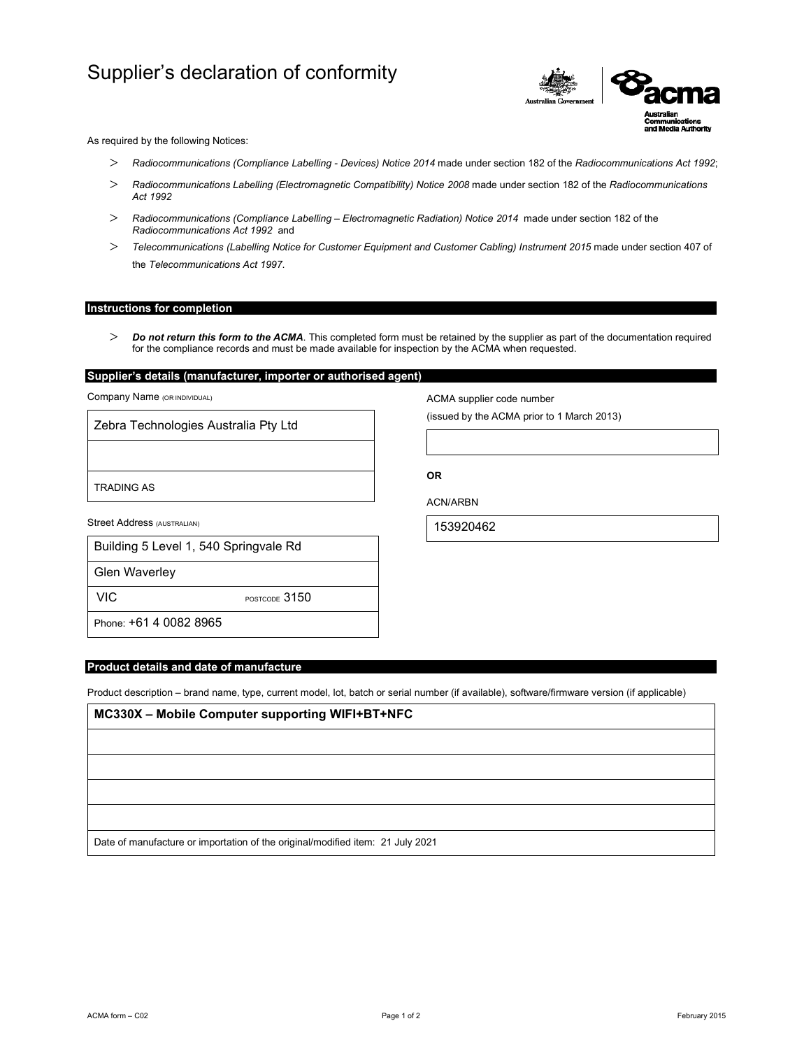# Supplier's declaration of conformity



As required by the following Notices:

- *Radiocommunications (Compliance Labelling Devices) Notice 2014* made under section 182 of the *Radiocommunications Act 1992*;
- *Radiocommunications Labelling (Electromagnetic Compatibility) Notice 2008* made under section 182 of the *Radiocommunications Act 1992*
- *Radiocommunications (Compliance Labelling Electromagnetic Radiation) Notice 2014* made under section 182 of the *Radiocommunications Act 1992* and
- *Telecommunications (Labelling Notice for Customer Equipment and Customer Cabling) Instrument 2015* made under section 407 of the *Telecommunications Act 1997*.

#### **Instructions for completion**

 *Do not return this form to the ACMA*. This completed form must be retained by the supplier as part of the documentation required for the compliance records and must be made available for inspection by the ACMA when requested.

### **Supplier's details (manufacturer, importer or authorised agent)**

Company Name (OR INDIVIDUAL)

Zebra Technologies Australia Pty Ltd

TRADING AS

Street Address (AUSTRALIAN)

| Building 5 Level 1, 540 Springvale Rd |  |
|---------------------------------------|--|
|---------------------------------------|--|

Glen Waverley

VIC POSTCODE 3150

Phone: +61 4 0082 8965

#### **Product details and date of manufacture**

Product description – brand name, type, current model, lot, batch or serial number (if available), software/firmware version (if applicable)

## **MC330X – Mobile Computer supporting WIFI+BT+NFC**

Date of manufacture or importation of the original/modified item: 21 July 2021

ACMA supplier code number

(issued by the ACMA prior to 1 March 2013)

**OR** 

ACN/ARBN

153920462